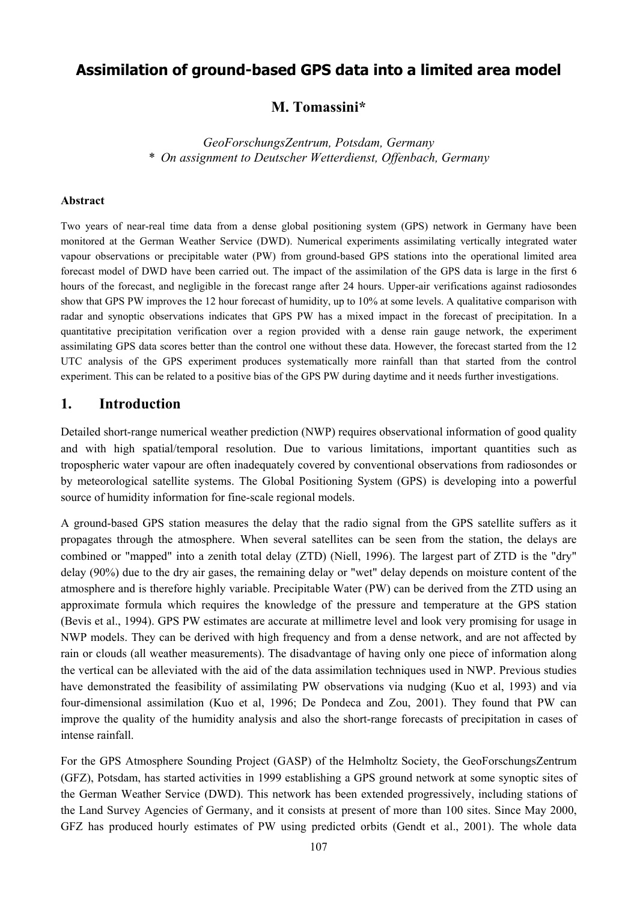# **Assimilation of ground-based GPS data into a limited area model**

### **M. Tomassini\***

*GeoForschungsZentrum, Potsdam, Germany \* On assignment to Deutscher Wetterdienst, Offenbach, Germany* 

#### **Abstract**

Two years of near-real time data from a dense global positioning system (GPS) network in Germany have been monitored at the German Weather Service (DWD). Numerical experiments assimilating vertically integrated water vapour observations or precipitable water (PW) from ground-based GPS stations into the operational limited area forecast model of DWD have been carried out. The impact of the assimilation of the GPS data is large in the first 6 hours of the forecast, and negligible in the forecast range after 24 hours. Upper-air verifications against radiosondes show that GPS PW improves the 12 hour forecast of humidity, up to 10% at some levels. A qualitative comparison with radar and synoptic observations indicates that GPS PW has a mixed impact in the forecast of precipitation. In a quantitative precipitation verification over a region provided with a dense rain gauge network, the experiment assimilating GPS data scores better than the control one without these data. However, the forecast started from the 12 UTC analysis of the GPS experiment produces systematically more rainfall than that started from the control experiment. This can be related to a positive bias of the GPS PW during daytime and it needs further investigations.

#### **1. Introduction**

Detailed short-range numerical weather prediction (NWP) requires observational information of good quality and with high spatial/temporal resolution. Due to various limitations, important quantities such as tropospheric water vapour are often inadequately covered by conventional observations from radiosondes or by meteorological satellite systems. The Global Positioning System (GPS) is developing into a powerful source of humidity information for fine-scale regional models.

A ground-based GPS station measures the delay that the radio signal from the GPS satellite suffers as it propagates through the atmosphere. When several satellites can be seen from the station, the delays are combined or "mapped" into a zenith total delay (ZTD) (Niell, 1996). The largest part of ZTD is the "dry" delay (90%) due to the dry air gases, the remaining delay or "wet" delay depends on moisture content of the atmosphere and is therefore highly variable. Precipitable Water (PW) can be derived from the ZTD using an approximate formula which requires the knowledge of the pressure and temperature at the GPS station (Bevis et al., 1994). GPS PW estimates are accurate at millimetre level and look very promising for usage in NWP models. They can be derived with high frequency and from a dense network, and are not affected by rain or clouds (all weather measurements). The disadvantage of having only one piece of information along the vertical can be alleviated with the aid of the data assimilation techniques used in NWP. Previous studies have demonstrated the feasibility of assimilating PW observations via nudging (Kuo et al, 1993) and via four-dimensional assimilation (Kuo et al, 1996; De Pondeca and Zou, 2001). They found that PW can improve the quality of the humidity analysis and also the short-range forecasts of precipitation in cases of intense rainfall.

For the GPS Atmosphere Sounding Project (GASP) of the Helmholtz Society, the GeoForschungsZentrum (GFZ), Potsdam, has started activities in 1999 establishing a GPS ground network at some synoptic sites of the German Weather Service (DWD). This network has been extended progressively, including stations of the Land Survey Agencies of Germany, and it consists at present of more than 100 sites. Since May 2000, GFZ has produced hourly estimates of PW using predicted orbits (Gendt et al., 2001). The whole data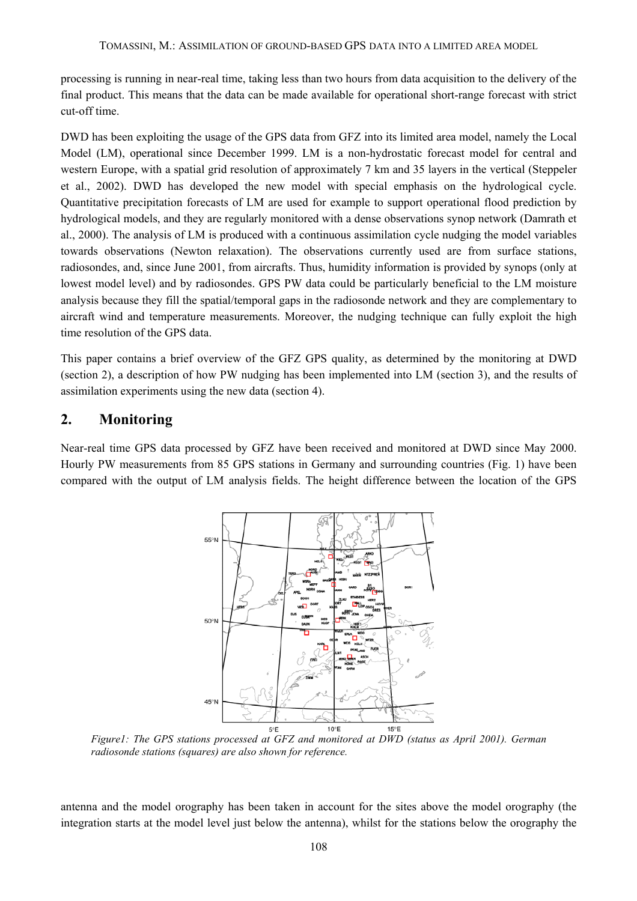processing is running in near-real time, taking less than two hours from data acquisition to the delivery of the final product. This means that the data can be made available for operational short-range forecast with strict cut-off time.

DWD has been exploiting the usage of the GPS data from GFZ into its limited area model, namely the Local Model (LM), operational since December 1999. LM is a non-hydrostatic forecast model for central and western Europe, with a spatial grid resolution of approximately 7 km and 35 layers in the vertical (Steppeler et al., 2002). DWD has developed the new model with special emphasis on the hydrological cycle. Quantitative precipitation forecasts of LM are used for example to support operational flood prediction by hydrological models, and they are regularly monitored with a dense observations synop network (Damrath et al., 2000). The analysis of LM is produced with a continuous assimilation cycle nudging the model variables towards observations (Newton relaxation). The observations currently used are from surface stations, radiosondes, and, since June 2001, from aircrafts. Thus, humidity information is provided by synops (only at lowest model level) and by radiosondes. GPS PW data could be particularly beneficial to the LM moisture analysis because they fill the spatial/temporal gaps in the radiosonde network and they are complementary to aircraft wind and temperature measurements. Moreover, the nudging technique can fully exploit the high time resolution of the GPS data.

This paper contains a brief overview of the GFZ GPS quality, as determined by the monitoring at DWD (section 2), a description of how PW nudging has been implemented into LM (section 3), and the results of assimilation experiments using the new data (section 4).

## **2. Monitoring**

Near-real time GPS data processed by GFZ have been received and monitored at DWD since May 2000. Hourly PW measurements from 85 GPS stations in Germany and surrounding countries (Fig. 1) have been compared with the output of LM analysis fields. The height difference between the location of the GPS



*Figure1: The GPS stations processed at GFZ and monitored at DWD (status as April 2001). German radiosonde stations (squares) are also shown for reference.* 

antenna and the model orography has been taken in account for the sites above the model orography (the integration starts at the model level just below the antenna), whilst for the stations below the orography the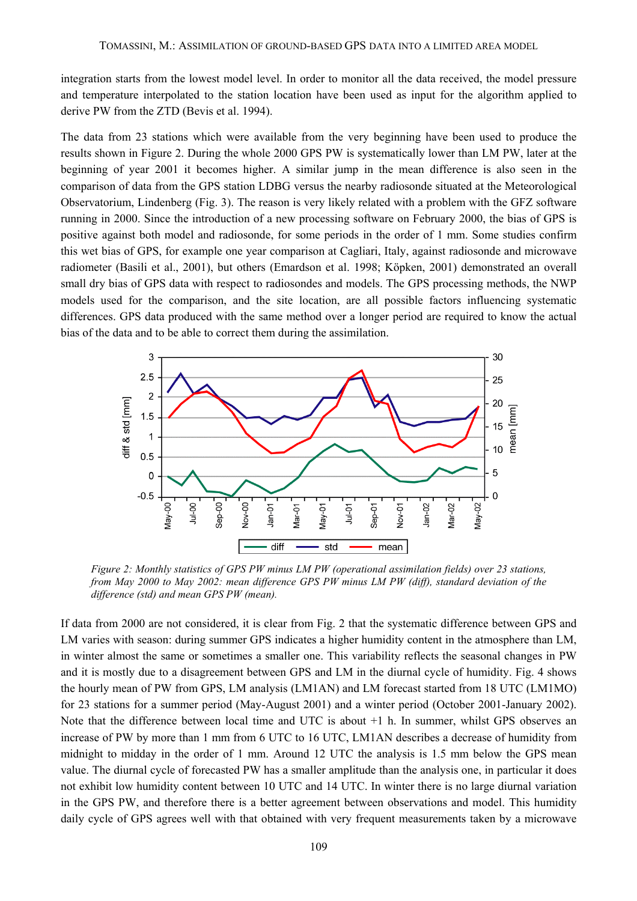integration starts from the lowest model level. In order to monitor all the data received, the model pressure and temperature interpolated to the station location have been used as input for the algorithm applied to derive PW from the ZTD (Bevis et al. 1994).

The data from 23 stations which were available from the very beginning have been used to produce the results shown in Figure 2. During the whole 2000 GPS PW is systematically lower than LM PW, later at the beginning of year 2001 it becomes higher. A similar jump in the mean difference is also seen in the comparison of data from the GPS station LDBG versus the nearby radiosonde situated at the Meteorological Observatorium, Lindenberg (Fig. 3). The reason is very likely related with a problem with the GFZ software running in 2000. Since the introduction of a new processing software on February 2000, the bias of GPS is positive against both model and radiosonde, for some periods in the order of 1 mm. Some studies confirm this wet bias of GPS, for example one year comparison at Cagliari, Italy, against radiosonde and microwave radiometer (Basili et al., 2001), but others (Emardson et al. 1998; Köpken, 2001) demonstrated an overall small dry bias of GPS data with respect to radiosondes and models. The GPS processing methods, the NWP models used for the comparison, and the site location, are all possible factors influencing systematic differences. GPS data produced with the same method over a longer period are required to know the actual bias of the data and to be able to correct them during the assimilation.



*Figure 2: Monthly statistics of GPS PW minus LM PW (operational assimilation fields) over 23 stations, from May 2000 to May 2002: mean difference GPS PW minus LM PW (diff), standard deviation of the difference (std) and mean GPS PW (mean).* 

If data from 2000 are not considered, it is clear from Fig. 2 that the systematic difference between GPS and LM varies with season: during summer GPS indicates a higher humidity content in the atmosphere than LM, in winter almost the same or sometimes a smaller one. This variability reflects the seasonal changes in PW and it is mostly due to a disagreement between GPS and LM in the diurnal cycle of humidity. Fig. 4 shows the hourly mean of PW from GPS, LM analysis (LM1AN) and LM forecast started from 18 UTC (LM1MO) for 23 stations for a summer period (May-August 2001) and a winter period (October 2001-January 2002). Note that the difference between local time and UTC is about +1 h. In summer, whilst GPS observes an increase of PW by more than 1 mm from 6 UTC to 16 UTC, LM1AN describes a decrease of humidity from midnight to midday in the order of 1 mm. Around 12 UTC the analysis is 1.5 mm below the GPS mean value. The diurnal cycle of forecasted PW has a smaller amplitude than the analysis one, in particular it does not exhibit low humidity content between 10 UTC and 14 UTC. In winter there is no large diurnal variation in the GPS PW, and therefore there is a better agreement between observations and model. This humidity daily cycle of GPS agrees well with that obtained with very frequent measurements taken by a microwave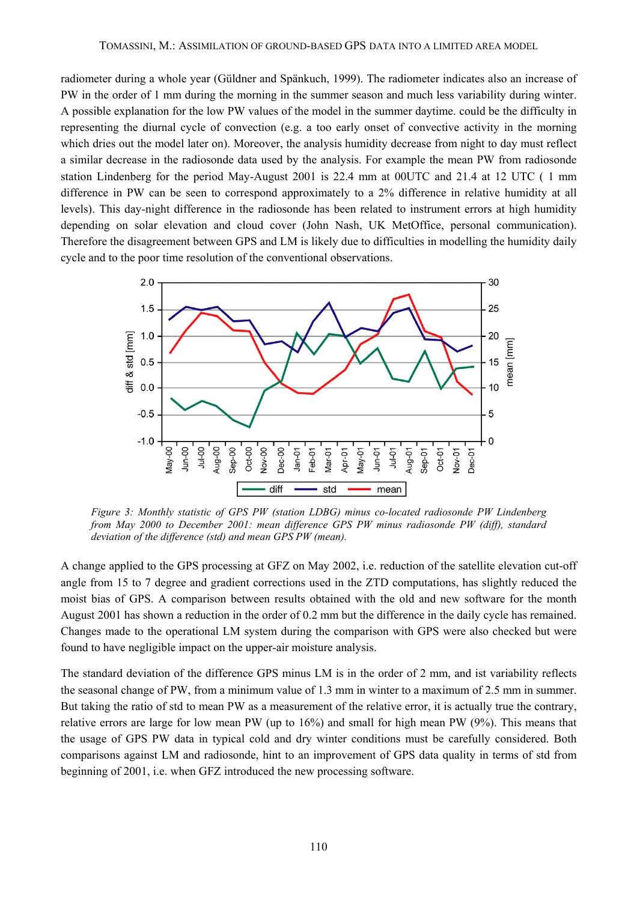radiometer during a whole year (Güldner and Spänkuch, 1999). The radiometer indicates also an increase of PW in the order of 1 mm during the morning in the summer season and much less variability during winter. A possible explanation for the low PW values of the model in the summer daytime. could be the difficulty in representing the diurnal cycle of convection (e.g. a too early onset of convective activity in the morning which dries out the model later on). Moreover, the analysis humidity decrease from night to day must reflect a similar decrease in the radiosonde data used by the analysis. For example the mean PW from radiosonde station Lindenberg for the period May-August 2001 is 22.4 mm at 00UTC and 21.4 at 12 UTC ( 1 mm difference in PW can be seen to correspond approximately to a 2% difference in relative humidity at all levels). This day-night difference in the radiosonde has been related to instrument errors at high humidity depending on solar elevation and cloud cover (John Nash, UK MetOffice, personal communication). Therefore the disagreement between GPS and LM is likely due to difficulties in modelling the humidity daily cycle and to the poor time resolution of the conventional observations.



*Figure 3: Monthly statistic of GPS PW (station LDBG) minus co-located radiosonde PW Lindenberg from May 2000 to December 2001: mean difference GPS PW minus radiosonde PW (diff), standard deviation of the difference (std) and mean GPS PW (mean).* 

A change applied to the GPS processing at GFZ on May 2002, i.e. reduction of the satellite elevation cut-off angle from 15 to 7 degree and gradient corrections used in the ZTD computations, has slightly reduced the moist bias of GPS. A comparison between results obtained with the old and new software for the month August 2001 has shown a reduction in the order of 0.2 mm but the difference in the daily cycle has remained. Changes made to the operational LM system during the comparison with GPS were also checked but were found to have negligible impact on the upper-air moisture analysis.

The standard deviation of the difference GPS minus LM is in the order of 2 mm, and ist variability reflects the seasonal change of PW, from a minimum value of 1.3 mm in winter to a maximum of 2.5 mm in summer. But taking the ratio of std to mean PW as a measurement of the relative error, it is actually true the contrary, relative errors are large for low mean PW (up to 16%) and small for high mean PW (9%). This means that the usage of GPS PW data in typical cold and dry winter conditions must be carefully considered. Both comparisons against LM and radiosonde, hint to an improvement of GPS data quality in terms of std from beginning of 2001, i.e. when GFZ introduced the new processing software.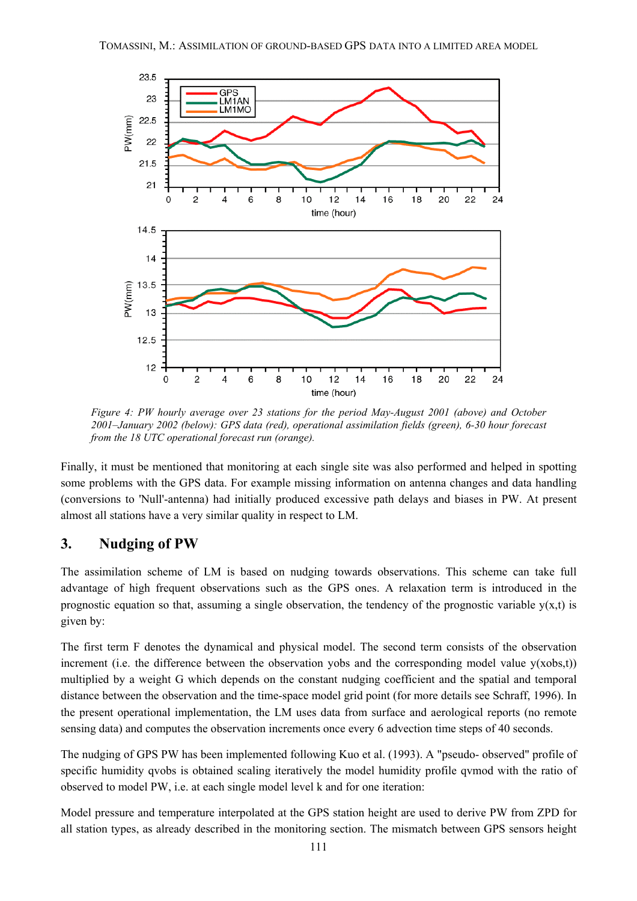

*Figure 4: PW hourly average over 23 stations for the period May-August 2001 (above) and October 2001–January 2002 (below): GPS data (red), operational assimilation fields (green), 6-30 hour forecast from the 18 UTC operational forecast run (orange).*

Finally, it must be mentioned that monitoring at each single site was also performed and helped in spotting some problems with the GPS data. For example missing information on antenna changes and data handling (conversions to 'Null'-antenna) had initially produced excessive path delays and biases in PW. At present almost all stations have a very similar quality in respect to LM.

### **3. Nudging of PW**

The assimilation scheme of LM is based on nudging towards observations. This scheme can take full advantage of high frequent observations such as the GPS ones. A relaxation term is introduced in the prognostic equation so that, assuming a single observation, the tendency of the prognostic variable  $y(x,t)$  is given by:

The first term F denotes the dynamical and physical model. The second term consists of the observation increment (i.e. the difference between the observation yobs and the corresponding model value  $v(xobs.t)$ ) multiplied by a weight G which depends on the constant nudging coefficient and the spatial and temporal distance between the observation and the time-space model grid point (for more details see Schraff, 1996). In the present operational implementation, the LM uses data from surface and aerological reports (no remote sensing data) and computes the observation increments once every 6 advection time steps of 40 seconds.

The nudging of GPS PW has been implemented following Kuo et al. (1993). A "pseudo- observed" profile of specific humidity qvobs is obtained scaling iteratively the model humidity profile qvmod with the ratio of observed to model PW, i.e. at each single model level k and for one iteration:

Model pressure and temperature interpolated at the GPS station height are used to derive PW from ZPD for all station types, as already described in the monitoring section. The mismatch between GPS sensors height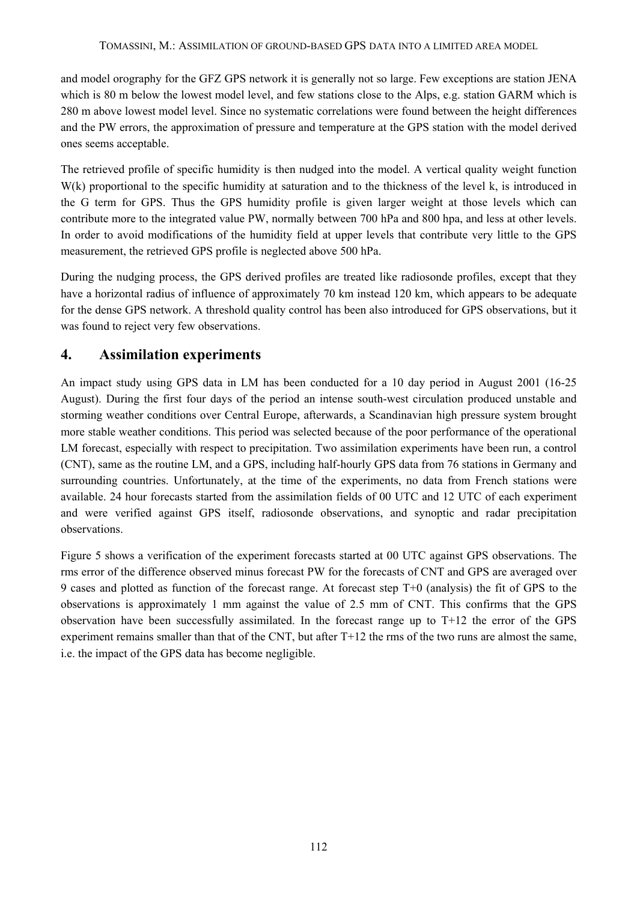#### TOMASSINI, M.: ASSIMILATION OF GROUND-BASED GPS DATA INTO A LIMITED AREA MODEL

and model orography for the GFZ GPS network it is generally not so large. Few exceptions are station JENA which is 80 m below the lowest model level, and few stations close to the Alps, e.g. station GARM which is 280 m above lowest model level. Since no systematic correlations were found between the height differences and the PW errors, the approximation of pressure and temperature at the GPS station with the model derived ones seems acceptable.

The retrieved profile of specific humidity is then nudged into the model. A vertical quality weight function W(k) proportional to the specific humidity at saturation and to the thickness of the level k, is introduced in the G term for GPS. Thus the GPS humidity profile is given larger weight at those levels which can contribute more to the integrated value PW, normally between 700 hPa and 800 hpa, and less at other levels. In order to avoid modifications of the humidity field at upper levels that contribute very little to the GPS measurement, the retrieved GPS profile is neglected above 500 hPa.

During the nudging process, the GPS derived profiles are treated like radiosonde profiles, except that they have a horizontal radius of influence of approximately 70 km instead 120 km, which appears to be adequate for the dense GPS network. A threshold quality control has been also introduced for GPS observations, but it was found to reject very few observations.

## **4. Assimilation experiments**

An impact study using GPS data in LM has been conducted for a 10 day period in August 2001 (16-25 August). During the first four days of the period an intense south-west circulation produced unstable and storming weather conditions over Central Europe, afterwards, a Scandinavian high pressure system brought more stable weather conditions. This period was selected because of the poor performance of the operational LM forecast, especially with respect to precipitation. Two assimilation experiments have been run, a control (CNT), same as the routine LM, and a GPS, including half-hourly GPS data from 76 stations in Germany and surrounding countries. Unfortunately, at the time of the experiments, no data from French stations were available. 24 hour forecasts started from the assimilation fields of 00 UTC and 12 UTC of each experiment and were verified against GPS itself, radiosonde observations, and synoptic and radar precipitation observations.

Figure 5 shows a verification of the experiment forecasts started at 00 UTC against GPS observations. The rms error of the difference observed minus forecast PW for the forecasts of CNT and GPS are averaged over 9 cases and plotted as function of the forecast range. At forecast step T+0 (analysis) the fit of GPS to the observations is approximately 1 mm against the value of 2.5 mm of CNT. This confirms that the GPS observation have been successfully assimilated. In the forecast range up to T+12 the error of the GPS experiment remains smaller than that of the CNT, but after T+12 the rms of the two runs are almost the same, i.e. the impact of the GPS data has become negligible.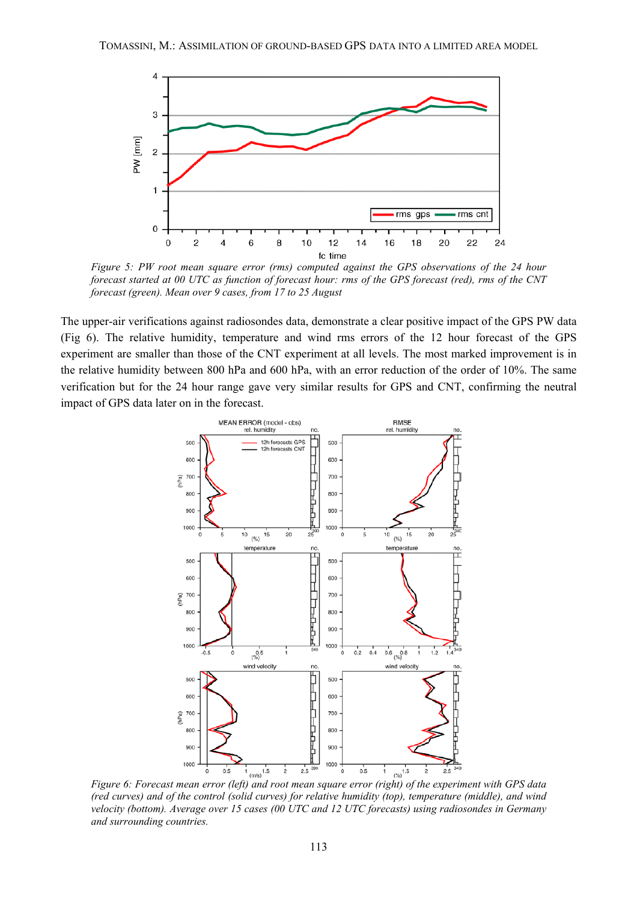

*Figure 5: PW root mean square error (rms) computed against the GPS observations of the 24 hour forecast started at 00 UTC as function of forecast hour: rms of the GPS forecast (red), rms of the CNT forecast (green). Mean over 9 cases, from 17 to 25 August*

The upper-air verifications against radiosondes data, demonstrate a clear positive impact of the GPS PW data (Fig 6). The relative humidity, temperature and wind rms errors of the 12 hour forecast of the GPS experiment are smaller than those of the CNT experiment at all levels. The most marked improvement is in the relative humidity between 800 hPa and 600 hPa, with an error reduction of the order of 10%. The same verification but for the 24 hour range gave very similar results for GPS and CNT, confirming the neutral impact of GPS data later on in the forecast.



*(red curves) and of the control (solid curves) for relative humidity (top), temperature (middle), and wind velocity (bottom). Average over 15 cases (00 UTC and 12 UTC forecasts) using radiosondes in Germany and surrounding countries.*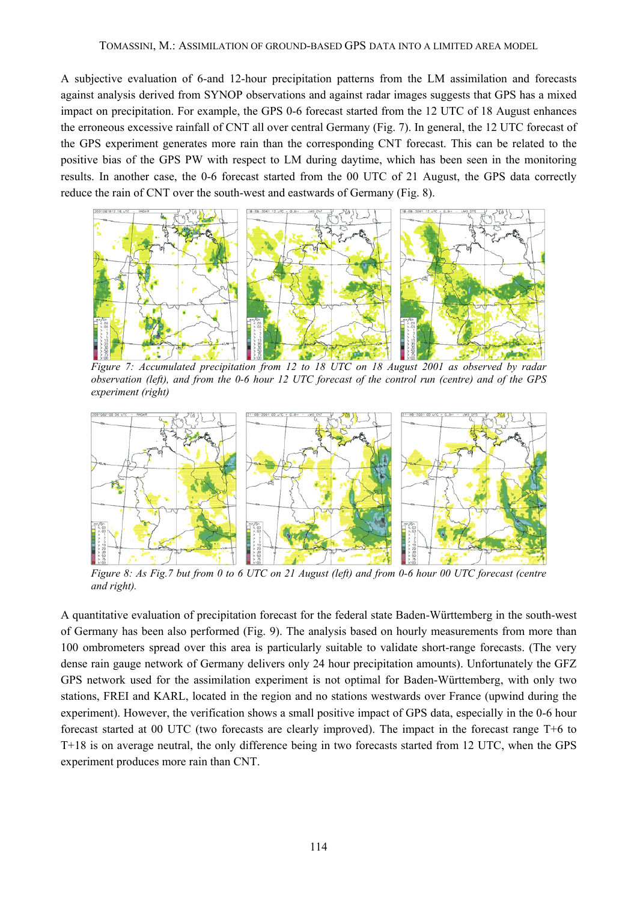A subjective evaluation of 6-and 12-hour precipitation patterns from the LM assimilation and forecasts against analysis derived from SYNOP observations and against radar images suggests that GPS has a mixed impact on precipitation. For example, the GPS 0-6 forecast started from the 12 UTC of 18 August enhances the erroneous excessive rainfall of CNT all over central Germany (Fig. 7). In general, the 12 UTC forecast of the GPS experiment generates more rain than the corresponding CNT forecast. This can be related to the positive bias of the GPS PW with respect to LM during daytime, which has been seen in the monitoring results. In another case, the 0-6 forecast started from the 00 UTC of 21 August, the GPS data correctly reduce the rain of CNT over the south-west and eastwards of Germany (Fig. 8).



*Figure 7: Accumulated precipitation from 12 to 18 UTC on 18 August 2001 as observed by radar observation (left), and from the 0-6 hour 12 UTC forecast of the control run (centre) and of the GPS experiment (right)*



*Figure 8: As Fig.7 but from 0 to 6 UTC on 21 August (left) and from 0-6 hour 00 UTC forecast (centre and right).*

A quantitative evaluation of precipitation forecast for the federal state Baden-Württemberg in the south-west of Germany has been also performed (Fig. 9). The analysis based on hourly measurements from more than 100 ombrometers spread over this area is particularly suitable to validate short-range forecasts. (The very dense rain gauge network of Germany delivers only 24 hour precipitation amounts). Unfortunately the GFZ GPS network used for the assimilation experiment is not optimal for Baden-Württemberg, with only two stations, FREI and KARL, located in the region and no stations westwards over France (upwind during the experiment). However, the verification shows a small positive impact of GPS data, especially in the 0-6 hour forecast started at 00 UTC (two forecasts are clearly improved). The impact in the forecast range T+6 to T+18 is on average neutral, the only difference being in two forecasts started from 12 UTC, when the GPS experiment produces more rain than CNT.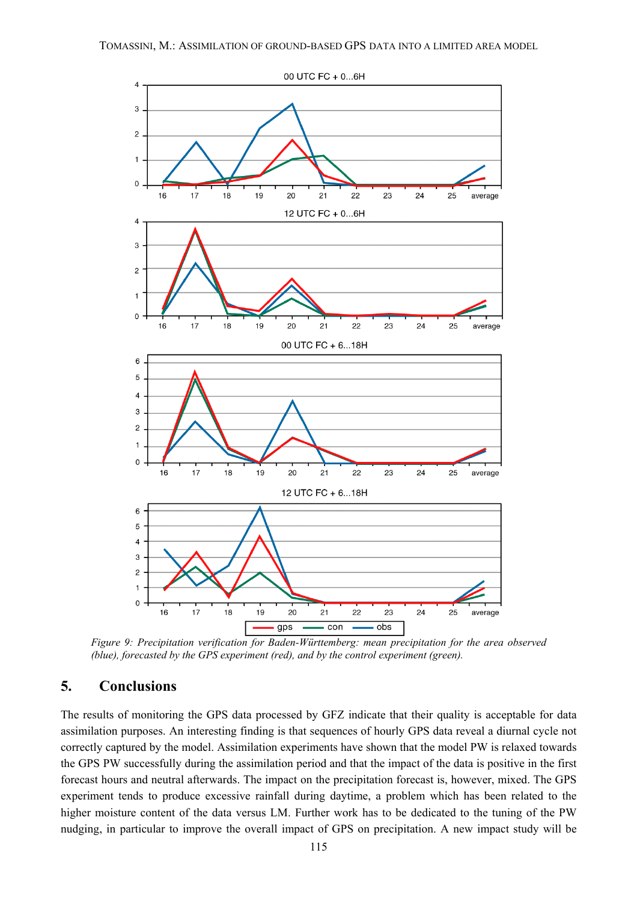

*Figure 9: Precipitation verification for Baden-Württemberg: mean precipitation for the area observed (blue), forecasted by the GPS experiment (red), and by the control experiment (green).*

### **5. Conclusions**

The results of monitoring the GPS data processed by GFZ indicate that their quality is acceptable for data assimilation purposes. An interesting finding is that sequences of hourly GPS data reveal a diurnal cycle not correctly captured by the model. Assimilation experiments have shown that the model PW is relaxed towards the GPS PW successfully during the assimilation period and that the impact of the data is positive in the first forecast hours and neutral afterwards. The impact on the precipitation forecast is, however, mixed. The GPS experiment tends to produce excessive rainfall during daytime, a problem which has been related to the higher moisture content of the data versus LM. Further work has to be dedicated to the tuning of the PW nudging, in particular to improve the overall impact of GPS on precipitation. A new impact study will be